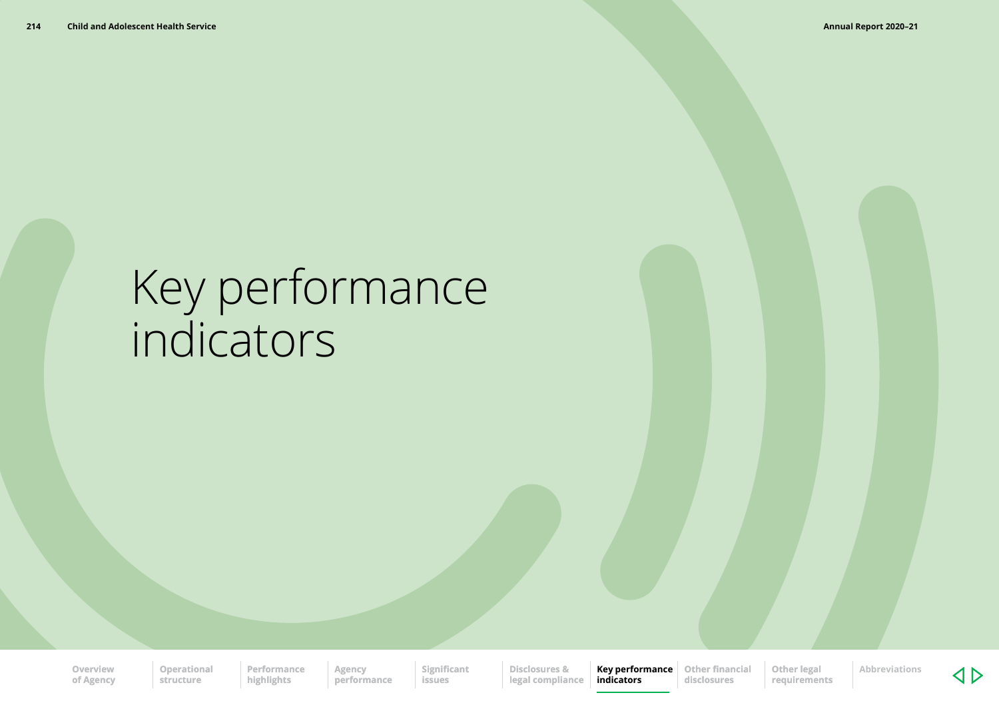# Key performance indicators

**Overview of Agency** **Operational structure Performance highlights**

**Agency performance**

**Significant issues**

**Disclosures &** 

**legal compliance Key performance indicators**

**Other financial disclosures**

**Other legal requirements**

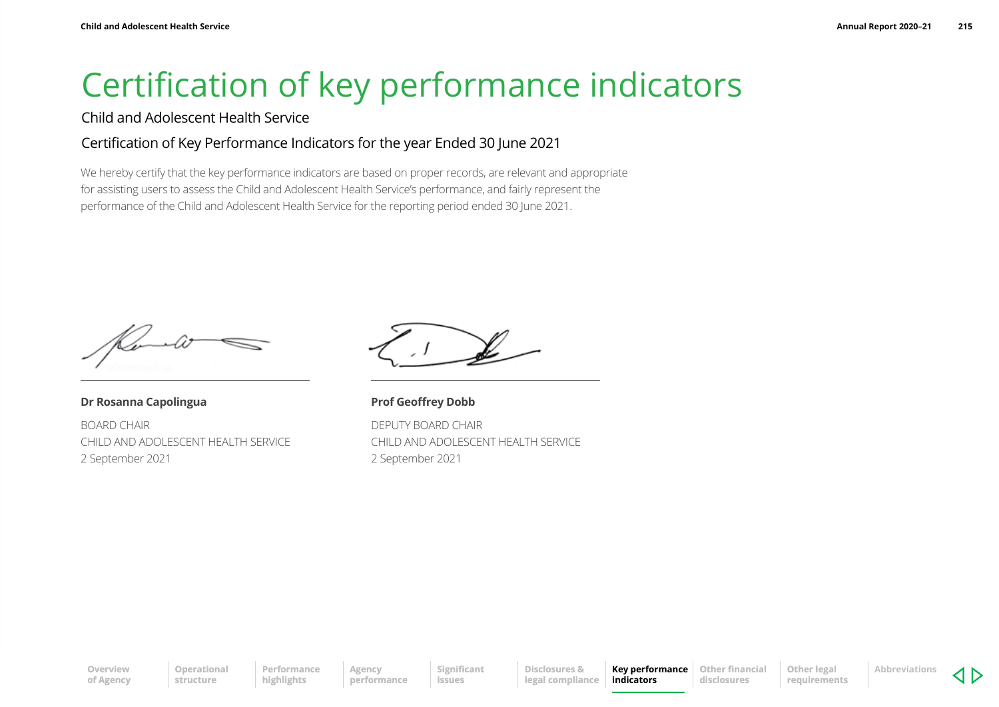# Certification of key performance indicators

### Child and Adolescent Health Service

# Certification of Key Performance Indicators for the year Ended 30 June 2021

We hereby certify that the key performance indicators are based on proper records, are relevant and appropriate for assisting users to assess the Child and Adolescent Health Service's performance, and fairly represent the performance of the Child and Adolescent Health Service for the reporting period ended 30 June 2021.



**Dr Rosanna Capolingua**

BOARD CHAIR CHILD AND ADOLESCENT HEALTH SERVICE 2 September 2021

**Prof Geoffrey Dobb**

DEPUTY BOARD CHAIR CHILD AND ADOLESCENT HEALTH SERVICE 2 September 2021

**Overview of Agency** **Operational structure**

**Performance highlights Agency** 

**performance Significant issues**

**Disclosures & legal compliance**

**Key performance indicators**

**Other financial disclosures**

**Other legal requirements Abbreviations**

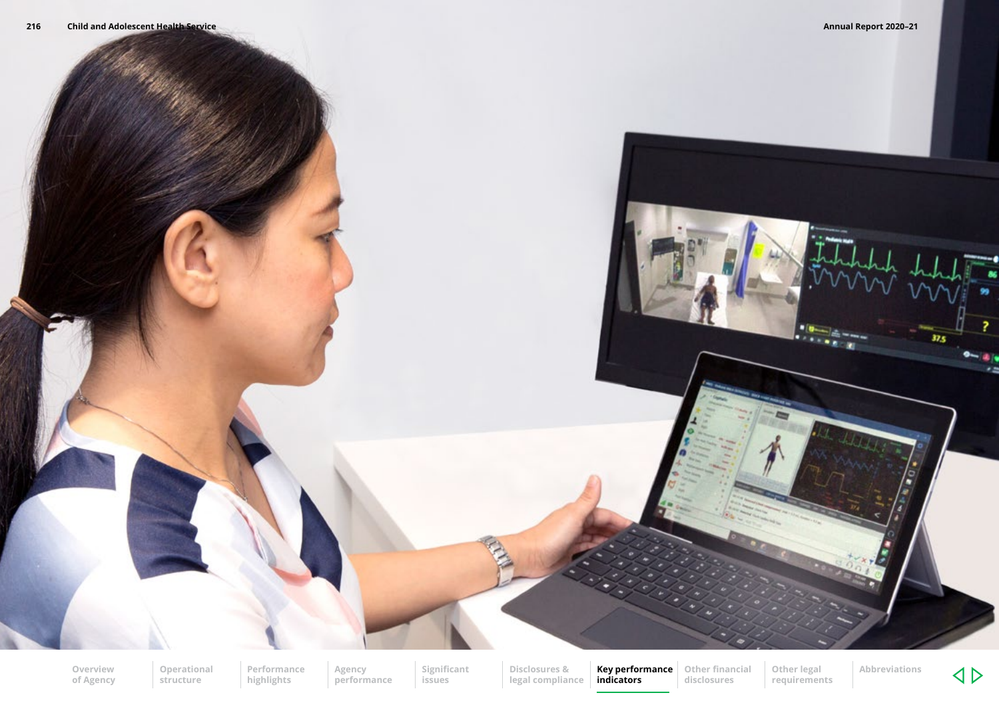

**Overview of Agency** **Operational structure Performance highlights**

**Agency performance** **Significant issues**

**Disclosures & legal compliance indicators**

**Key performance** 

**Other financial disclosures Other legal requirements**

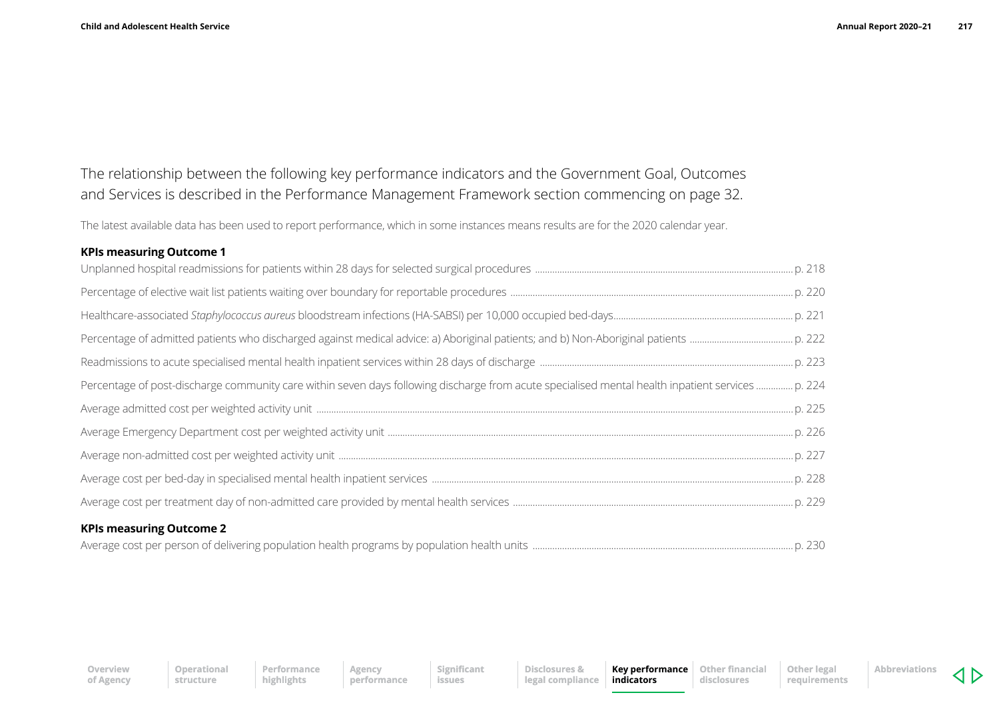# The relationship between the following key performance indicators and the Government Goal, Outcomes and Services is described in the Performance Management Framework section commencing on page 32.

The latest available data has been used to report performance, which in some instances means results are for the 2020 calendar year.

#### **KPIs measuring Outcome 1**

| Percentage of post-discharge community care within seven days following discharge from acute specialised mental health inpatient services  p. 224 |  |
|---------------------------------------------------------------------------------------------------------------------------------------------------|--|
|                                                                                                                                                   |  |
|                                                                                                                                                   |  |
|                                                                                                                                                   |  |
|                                                                                                                                                   |  |
|                                                                                                                                                   |  |
| <b>KPIs measuring Outcome 2</b>                                                                                                                   |  |
|                                                                                                                                                   |  |

**Overview of Agency** **Performance highlights**

**performance Significant issues**

**Agency** 

**Disclosures & legal compliance**

**Key performance indicators**

 $\triangleright$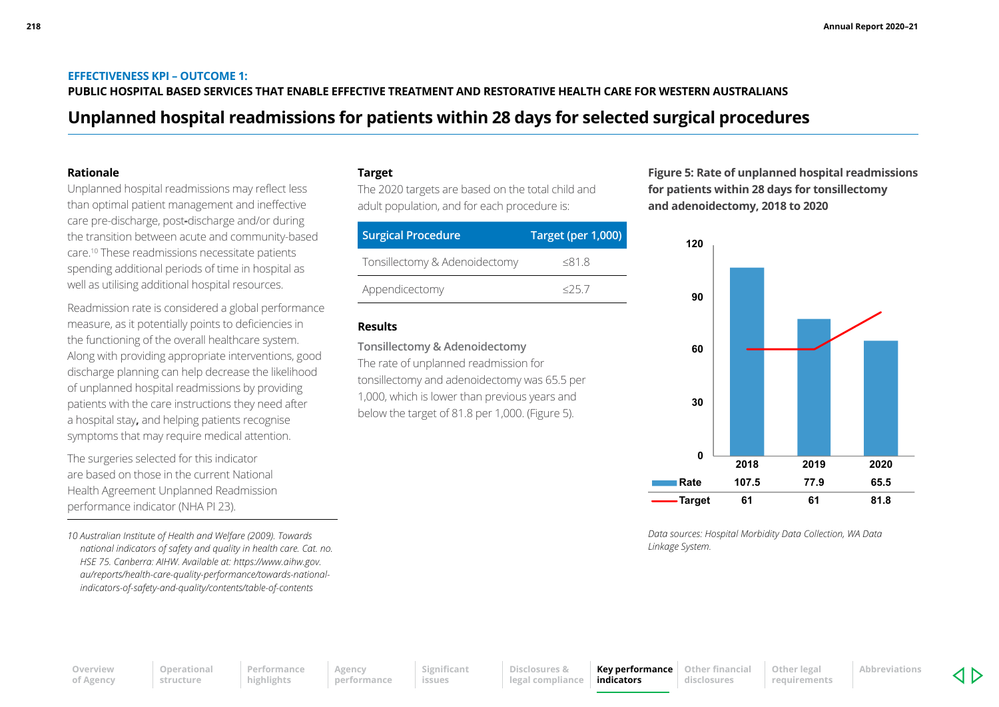**PUBLIC HOSPITAL BASED SERVICES THAT ENABLE EFFECTIVE TREATMENT AND RESTORATIVE HEALTH CARE FOR WESTERN AUSTRALIANS**

# **Unplanned hospital readmissions for patients within 28 days for selected surgical procedures**

#### **Rationale**

Unplanned hospital readmissions may reflect less than optimal patient management and ineffective care pre-discharge, post**-**discharge and/or during the transition between acute and community-based care.10 These readmissions necessitate patients spending additional periods of time in hospital as well as utilising additional hospital resources.

Readmission rate is considered a global performance measure, as it potentially points to deficiencies in the functioning of the overall healthcare system. Along with providing appropriate interventions, good discharge planning can help decrease the likelihood of unplanned hospital readmissions by providing patients with the care instructions they need after a hospital stay**,** and helping patients recognise symptoms that may require medical attention.

The surgeries selected for this indicator are based on those in the current National Health Agreement Unplanned Readmission performance indicator (NHA PI 23).

*10 Australian Institute of Health and Welfare (2009). Towards national indicators of safety and quality in health care. Cat. no. HSE 75. Canberra: AIHW. Available at: https://www.aihw.gov. au/reports/health-care-quality-performance/towards-nationalindicators-of-safety-and-quality/contents/table-of-contents*

#### **Target**

The 2020 targets are based on the total child and adult population, and for each procedure is:

| <b>Surgical Procedure</b>     | <b>Target (per 1,000)</b> |  |
|-------------------------------|---------------------------|--|
| Tonsillectomy & Adenoidectomy | < 81.8                    |  |
| Appendicectomy                | 3257                      |  |

#### **Results**

**Tonsillectomy & Adenoidectomy** The rate of unplanned readmission for tonsillectomy and adenoidectomy was 65.5 per 1,000, which is lower than previous years and below the target of 81.8 per 1,000. (Figure 5).

**Figure 5: Rate of unplanned hospital readmissions for patients within 28 days for tonsillectomy and adenoidectomy, 2018 to 2020**



*Data sources: Hospital Morbidity Data Collection, WA Data Linkage System.*

**Other legal requirements**

**Overview of Agency** **Performance highlights**

**performance Significant issues**

**Agency** 

**Disclosures & legal compliance**

**Key performance indicators**

**Other financial disclosures**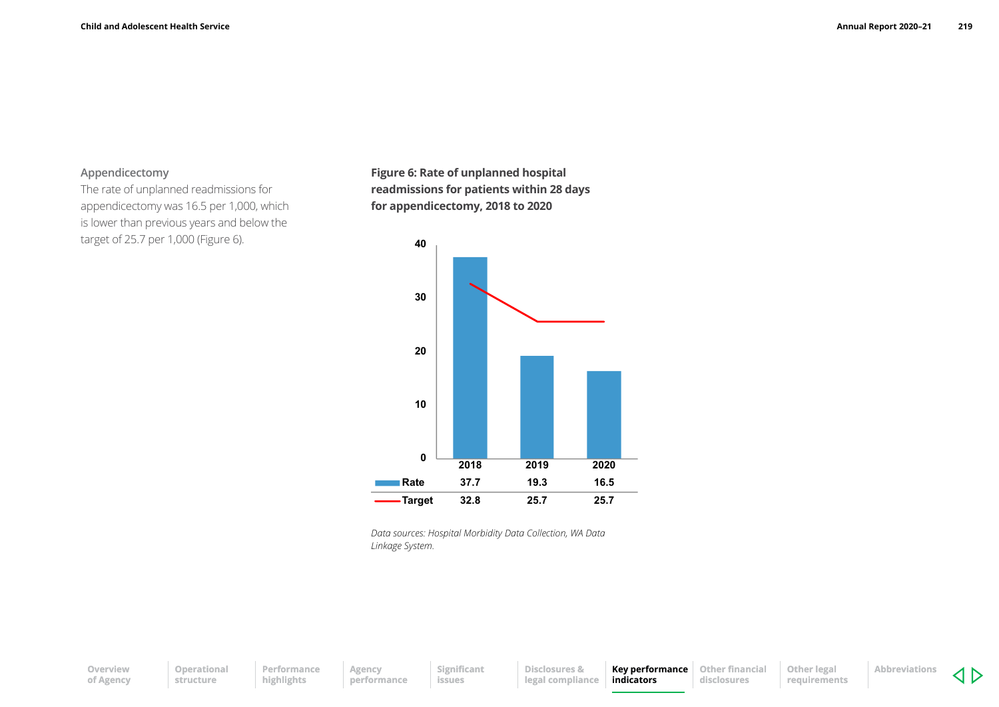#### **Appendicectomy**

The rate of unplanned readmissions for appendicectomy was 16.5 per 1,000, which is lower than previous years and below the target of 25.7 per 1,000 (Figure 6).

**Figure 6: Rate of unplanned hospital readmissions for patients within 28 days for appendicectomy, 2018 to 2020**



*Data sources: Hospital Morbidity Data Collection, WA Data Linkage System.*

**Overview of Agency**

**Operational structure**

**Performance highlights Agency** 

**performance Significant issues**

**Disclosures & legal compliance**

**Key performance indicators**

**Other financial disclosures**

**requirements Abbreviations**

**Other legal** 

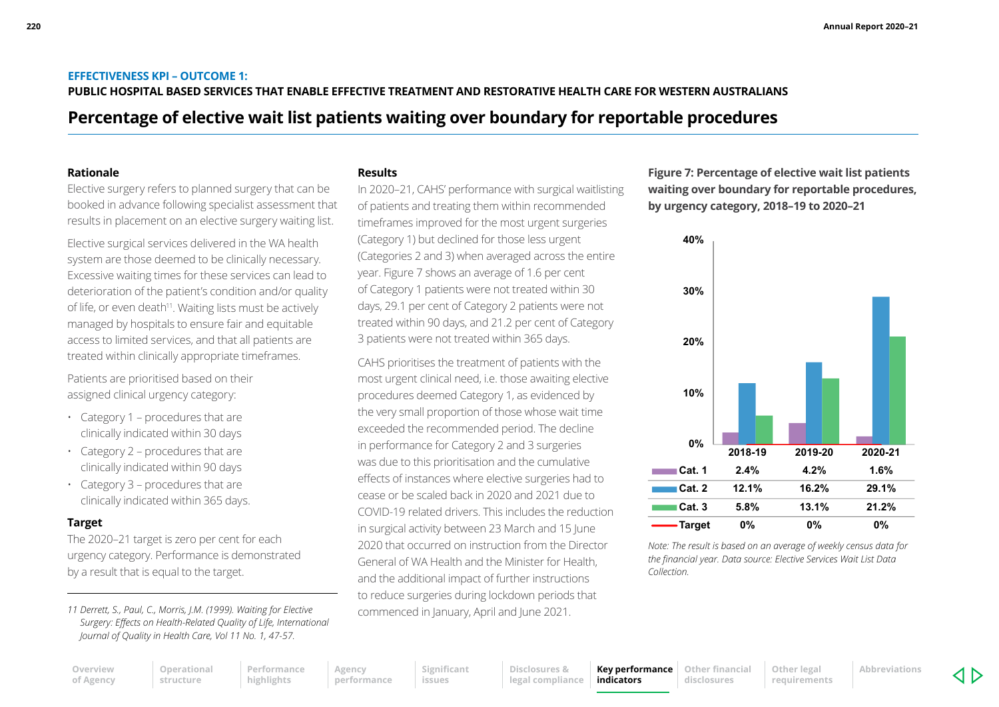**PUBLIC HOSPITAL BASED SERVICES THAT ENABLE EFFECTIVE TREATMENT AND RESTORATIVE HEALTH CARE FOR WESTERN AUSTRALIANS**

**Percentage of elective wait list patients waiting over boundary for reportable procedures**

#### **Rationale**

Elective surgery refers to planned surgery that can be booked in advance following specialist assessment that results in placement on an elective surgery waiting list.

Elective surgical services delivered in the WA health system are those deemed to be clinically necessary. Excessive waiting times for these services can lead to deterioration of the patient's condition and/or quality of life, or even death<sup>11</sup>. Waiting lists must be actively managed by hospitals to ensure fair and equitable access to limited services, and that all patients are treated within clinically appropriate timeframes.

Patients are prioritised based on their assigned clinical urgency category:

- Category 1 procedures that are clinically indicated within 30 days
- Category 2 procedures that are clinically indicated within 90 days
- Category 3 procedures that are clinically indicated within 365 days.

#### **Target**

The 2020–21 target is zero per cent for each urgency category. Performance is demonstrated by a result that is equal to the target.

#### **Results**

In 2020–21, CAHS' performance with surgical waitlisting of patients and treating them within recommended timeframes improved for the most urgent surgeries (Category 1) but declined for those less urgent (Categories 2 and 3) when averaged across the entire year. Figure 7 shows an average of 1.6 per cent of Category 1 patients were not treated within 30 days, 29.1 per cent of Category 2 patients were not treated within 90 days, and 21.2 per cent of Category 3 patients were not treated within 365 days.

CAHS prioritises the treatment of patients with the most urgent clinical need, i.e. those awaiting elective procedures deemed Category 1, as evidenced by the very small proportion of those whose wait time exceeded the recommended period. The decline in performance for Category 2 and 3 surgeries was due to this prioritisation and the cumulative effects of instances where elective surgeries had to cease or be scaled back in 2020 and 2021 due to COVID-19 related drivers. This includes the reduction in surgical activity between 23 March and 15 June 2020 that occurred on instruction from the Director General of WA Health and the Minister for Health, and the additional impact of further instructions to reduce surgeries during lockdown periods that commenced in January, April and June 2021.

**Figure 7: Percentage of elective wait list patients waiting over boundary for reportable procedures, by urgency category, 2018–19 to 2020–21**



*Note: The result is based on an average of weekly census data for the financial year. Data source: Elective Services Wait List Data Collection.*

**Overview of Agency**

**Operational structure highlights**

**Performance Agency performance**

**Significant issues**

**Disclosures & legal compliance** **Key performance indicators**

**Other financial disclosures Other legal requirements**

*<sup>11</sup> Derrett, S., Paul, C., Morris, J.M. (1999). Waiting for Elective Surgery: Effects on Health-Related Quality of Life, International Journal of Quality in Health Care, Vol 11 No. 1, 47-57.*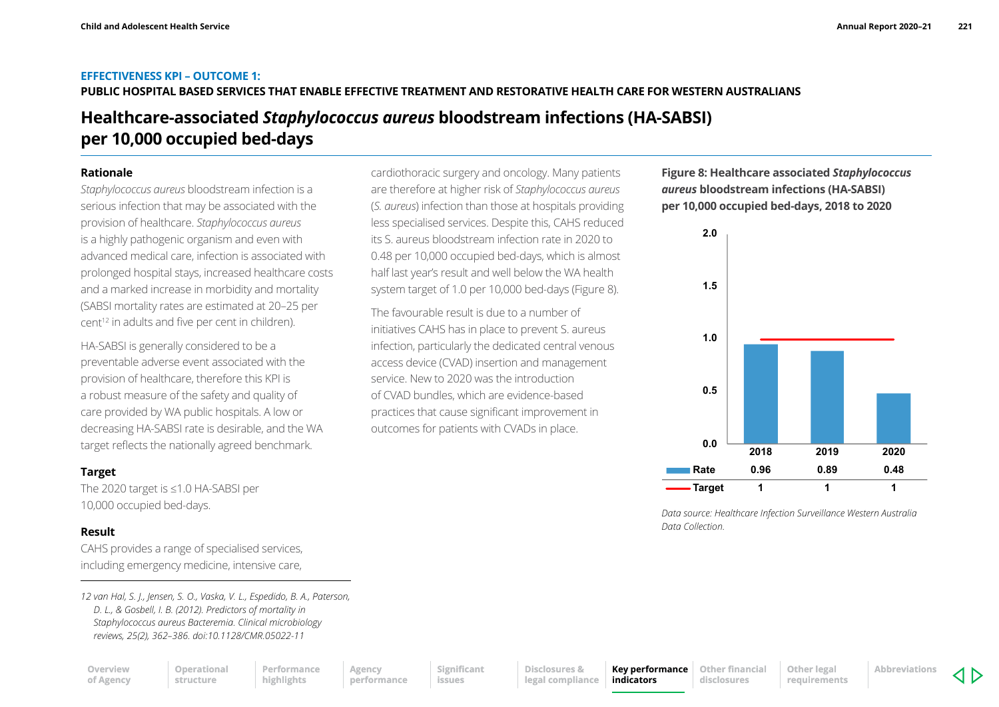#### **PUBLIC HOSPITAL BASED SERVICES THAT ENABLE EFFECTIVE TREATMENT AND RESTORATIVE HEALTH CARE FOR WESTERN AUSTRALIANS**

**Healthcare-associated** *Staphylococcus aureus* **bloodstream infections (HA-SABSI) per 10,000 occupied bed-days**

#### **Rationale**

*Staphylococcus aureus* bloodstream infection is a serious infection that may be associated with the provision of healthcare. *Staphylococcus aureus* is a highly pathogenic organism and even with advanced medical care, infection is associated with prolonged hospital stays, increased healthcare costs and a marked increase in morbidity and mortality (SABSI mortality rates are estimated at 20–25 per cent<sup>12</sup> in adults and five per cent in children).

HA-SABSI is generally considered to be a preventable adverse event associated with the provision of healthcare, therefore this KPI is a robust measure of the safety and quality of care provided by WA public hospitals. A low or decreasing HA-SABSI rate is desirable, and the WA target reflects the nationally agreed benchmark.

#### **Target**

The 2020 target is ≤1.0 HA-SABSI per 10,000 occupied bed-days.

#### **Result**

CAHS provides a range of specialised services, including emergency medicine, intensive care,

*12 van Hal, S. J., Jensen, S. O., Vaska, V. L., Espedido, B. A., Paterson, D. L., & Gosbell, I. B. (2012). Predictors of mortality in Staphylococcus aureus Bacteremia. Clinical microbiology reviews, 25(2), 362–386. doi:10.1128/CMR.05022-11*

cardiothoracic surgery and oncology. Many patients are therefore at higher risk of *Staphylococcus aureus* (*S. aureus*) infection than those at hospitals providing less specialised services. Despite this, CAHS reduced its S. aureus bloodstream infection rate in 2020 to 0.48 per 10,000 occupied bed-days, which is almost half last year's result and well below the WA health system target of 1.0 per 10,000 bed-days (Figure 8).

The favourable result is due to a number of initiatives CAHS has in place to prevent S. aureus infection, particularly the dedicated central venous access device (CVAD) insertion and management service. New to 2020 was the introduction of CVAD bundles, which are evidence-based practices that cause significant improvement in outcomes for patients with CVADs in place.

**Figure 8: Healthcare associated** *Staphylococcus aureus* **bloodstream infections (HA-SABSI) per 10,000 occupied bed-days, 2018 to 2020**



*Data source: Healthcare Infection Surveillance Western Australia Data Collection.*

**Overview of Agency**

**Operational structure Performance highlights**

**Agency performance**

**Significant issues**

**Disclosures & legal compliance**

**Key performance indicators**

**Other financial disclosures Other legal requirements**

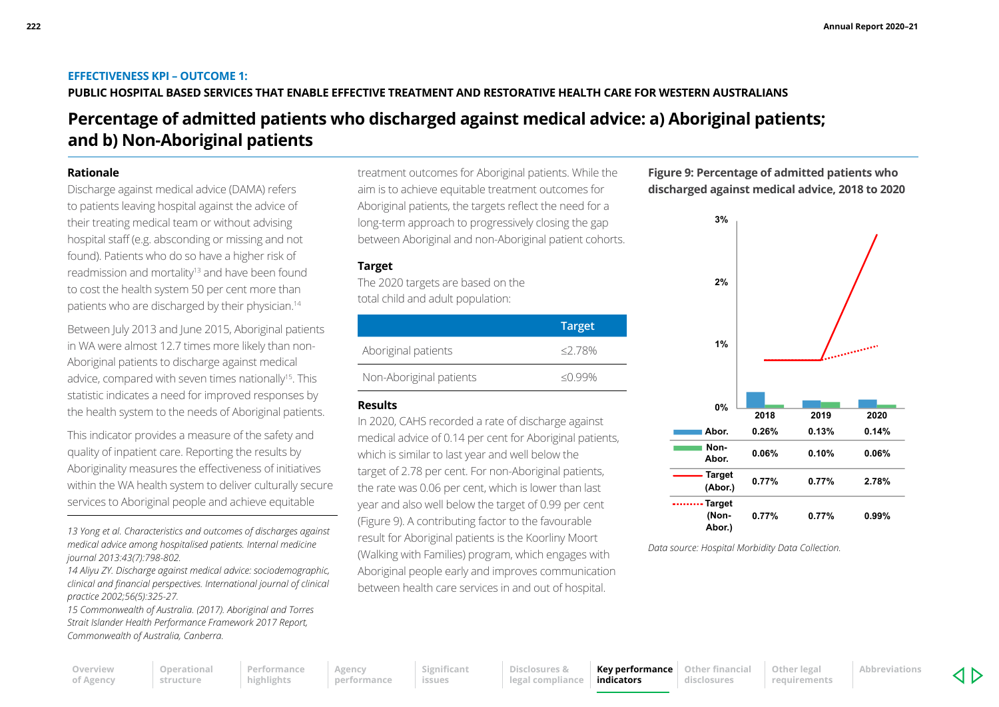#### **PUBLIC HOSPITAL BASED SERVICES THAT ENABLE EFFECTIVE TREATMENT AND RESTORATIVE HEALTH CARE FOR WESTERN AUSTRALIANS**

# **Percentage of admitted patients who discharged against medical advice: a) Aboriginal patients; and b) Non-Aboriginal patients**

#### **Rationale**

Discharge against medical advice (DAMA) refers to patients leaving hospital against the advice of their treating medical team or without advising hospital staff (e.g. absconding or missing and not found). Patients who do so have a higher risk of readmission and mortality<sup>13</sup> and have been found to cost the health system 50 per cent more than patients who are discharged by their physician.14

Between July 2013 and June 2015, Aboriginal patients in WA were almost 12.7 times more likely than non-Aboriginal patients to discharge against medical advice, compared with seven times nationally<sup>15</sup>. This statistic indicates a need for improved responses by the health system to the needs of Aboriginal patients.

This indicator provides a measure of the safety and quality of inpatient care. Reporting the results by Aboriginality measures the effectiveness of initiatives within the WA health system to deliver culturally secure services to Aboriginal people and achieve equitable

*13 Yong et al. Characteristics and outcomes of discharges against medical advice among hospitalised patients. Internal medicine journal 2013:43(7):798-802.*

*14 Aliyu ZY. Discharge against medical advice: sociodemographic, clinical and financial perspectives. International journal of clinical practice 2002;56(5):325-27.*

*15 Commonwealth of Australia. (2017). Aboriginal and Torres Strait Islander Health Performance Framework 2017 Report, Commonwealth of Australia, Canberra.*

treatment outcomes for Aboriginal patients. While the aim is to achieve equitable treatment outcomes for Aboriginal patients, the targets reflect the need for a long-term approach to progressively closing the gap between Aboriginal and non-Aboriginal patient cohorts.

#### **Target**

The 2020 targets are based on the total child and adult population:

|                         | <b>Target</b> |
|-------------------------|---------------|
| Aboriginal patients     | $278\%$       |
| Non-Aboriginal patients | $<$ 0.99%     |

#### **Results**

In 2020, CAHS recorded a rate of discharge against medical advice of 0.14 per cent for Aboriginal patients, which is similar to last year and well below the target of 2.78 per cent. For non-Aboriginal patients, the rate was 0.06 per cent, which is lower than last year and also well below the target of 0.99 per cent (Figure 9). A contributing factor to the favourable result for Aboriginal patients is the Koorliny Moort (Walking with Families) program, which engages with Aboriginal people early and improves communication between health care services in and out of hospital.

**Figure 9: Percentage of admitted patients who discharged against medical advice, 2018 to 2020**



*Data source: Hospital Morbidity Data Collection.*

**Operational structure**

**Performance highlights Agency** 

**performance Significant issues**

**Disclosures & legal compliance**

**Key performance indicators**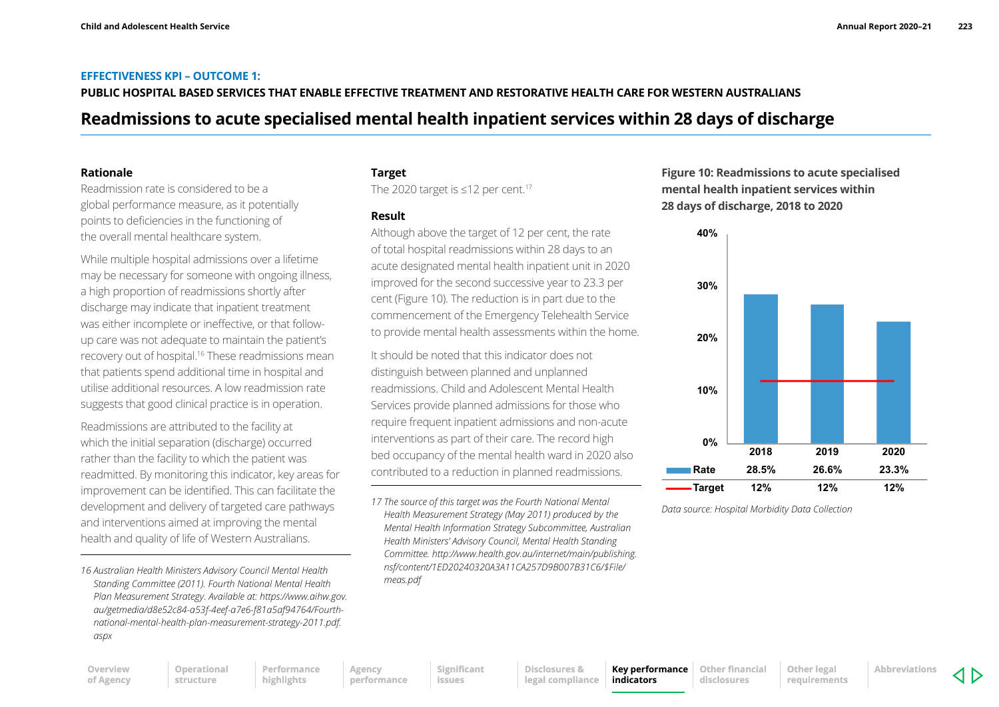**PUBLIC HOSPITAL BASED SERVICES THAT ENABLE EFFECTIVE TREATMENT AND RESTORATIVE HEALTH CARE FOR WESTERN AUSTRALIANS**

**Readmissions to acute specialised mental health inpatient services within 28 days of discharge**

#### **Rationale**

Readmission rate is considered to be a global performance measure, as it potentially points to deficiencies in the functioning of the overall mental healthcare system.

While multiple hospital admissions over a lifetime may be necessary for someone with ongoing illness, a high proportion of readmissions shortly after discharge may indicate that inpatient treatment was either incomplete or ineffective, or that followup care was not adequate to maintain the patient's recovery out of hospital.16 These readmissions mean that patients spend additional time in hospital and utilise additional resources. A low readmission rate suggests that good clinical practice is in operation.

Readmissions are attributed to the facility at which the initial separation (discharge) occurred rather than the facility to which the patient was readmitted. By monitoring this indicator, key areas for improvement can be identified. This can facilitate the development and delivery of targeted care pathways and interventions aimed at improving the mental health and quality of life of Western Australians.

*16 Australian Health Ministers Advisory Council Mental Health Standing Committee (2011). Fourth National Mental Health Plan Measurement Strategy. Available at: https://www.aihw.gov. au/getmedia/d8e52c84-a53f-4eef-a7e6-f81a5af94764/Fourthnational-mental-health-plan-measurement-strategy-2011.pdf. aspx*

#### **Target**

The 2020 target is ≤12 per cent.<sup>17</sup>

#### **Result**

Although above the target of 12 per cent, the rate of total hospital readmissions within 28 days to an acute designated mental health inpatient unit in 2020 improved for the second successive year to 23.3 per cent (Figure 10). The reduction is in part due to the commencement of the Emergency Telehealth Service to provide mental health assessments within the home.

It should be noted that this indicator does not distinguish between planned and unplanned readmissions. Child and Adolescent Mental Health Services provide planned admissions for those who require frequent inpatient admissions and non-acute interventions as part of their care. The record high bed occupancy of the mental health ward in 2020 also contributed to a reduction in planned readmissions.

*17 The source of this target was the Fourth National Mental Health Measurement Strategy (May 2011) produced by the Mental Health Information Strategy Subcommittee, Australian Health Ministers' Advisory Council, Mental Health Standing Committee. http://www.health.gov.au/internet/main/publishing. nsf/content/1ED20240320A3A11CA257D9B007B31C6/\$File/ meas.pdf*

**Figure 10: Readmissions to acute specialised mental health inpatient services within 28 days of discharge, 2018 to 2020**



*Data source: Hospital Morbidity Data Collection*

**Overview of Agency** **Operational structure**

**Performance highlights**

**Agency performance Significant issues**

**Disclosures & legal compliance indicators**

**Key performance disclosures**

**Other financial Other legal requirements**

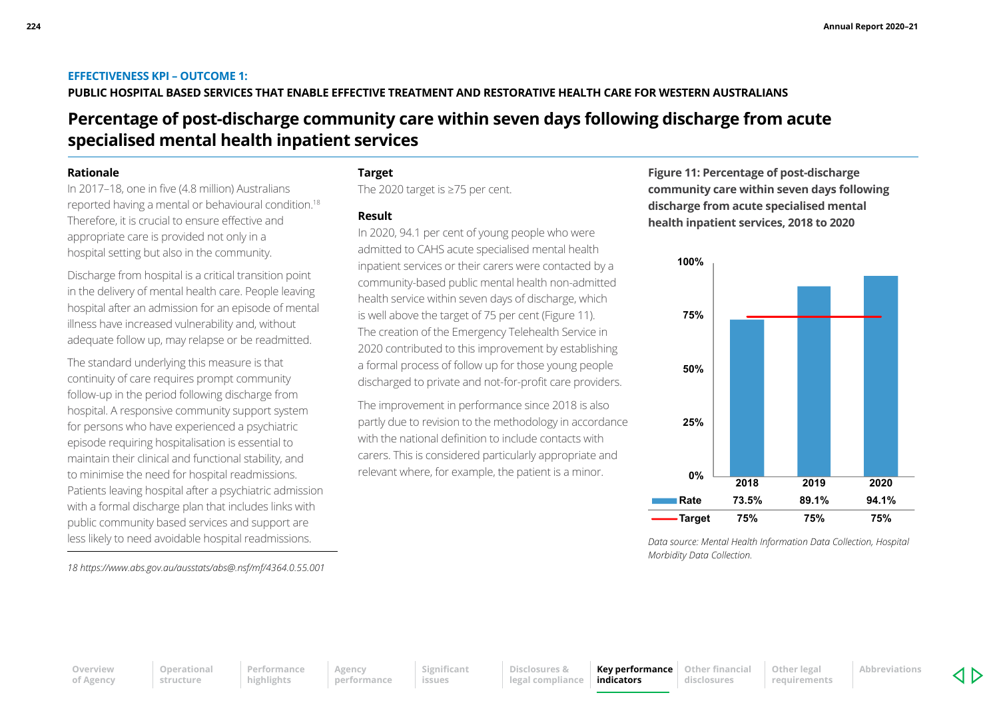**PUBLIC HOSPITAL BASED SERVICES THAT ENABLE EFFECTIVE TREATMENT AND RESTORATIVE HEALTH CARE FOR WESTERN AUSTRALIANS**

**Percentage of post-discharge community care within seven days following discharge from acute specialised mental health inpatient services**

#### **Rationale**

In 2017–18, one in five (4.8 million) Australians reported having a mental or behavioural condition.18 Therefore, it is crucial to ensure effective and appropriate care is provided not only in a hospital setting but also in the community.

Discharge from hospital is a critical transition point in the delivery of mental health care. People leaving hospital after an admission for an episode of mental illness have increased vulnerability and, without adequate follow up, may relapse or be readmitted.

The standard underlying this measure is that continuity of care requires prompt community follow-up in the period following discharge from hospital. A responsive community support system for persons who have experienced a psychiatric episode requiring hospitalisation is essential to maintain their clinical and functional stability, and to minimise the need for hospital readmissions. Patients leaving hospital after a psychiatric admission with a formal discharge plan that includes links with public community based services and support are less likely to need avoidable hospital readmissions.

*18 <https://www.abs.gov.au/ausstats/abs@.nsf/mf/4364.0.55.001>*

#### **Target**

The 2020 target is ≥75 per cent.

#### **Result**

In 2020, 94.1 per cent of young people who were admitted to CAHS acute specialised mental health inpatient services or their carers were contacted by a community-based public mental health non-admitted health service within seven days of discharge, which is well above the target of 75 per cent (Figure 11). The creation of the Emergency Telehealth Service in 2020 contributed to this improvement by establishing a formal process of follow up for those young people discharged to private and not-for-profit care providers.

The improvement in performance since 2018 is also partly due to revision to the methodology in accordance with the national definition to include contacts with carers. This is considered particularly appropriate and relevant where, for example, the patient is a minor.

**Figure 11: Percentage of post-discharge community care within seven days following discharge from acute specialised mental health inpatient services, 2018 to 2020**



*Data source: Mental Health Information Data Collection, Hospital Morbidity Data Collection.*

**Overview of Agency**

**Operational structure**

**Performance highlights**

**performance Significant issues**

**Agency** 

**Disclosures & legal compliance** **Key performance indicators**

**Other financial disclosures Other legal requirements**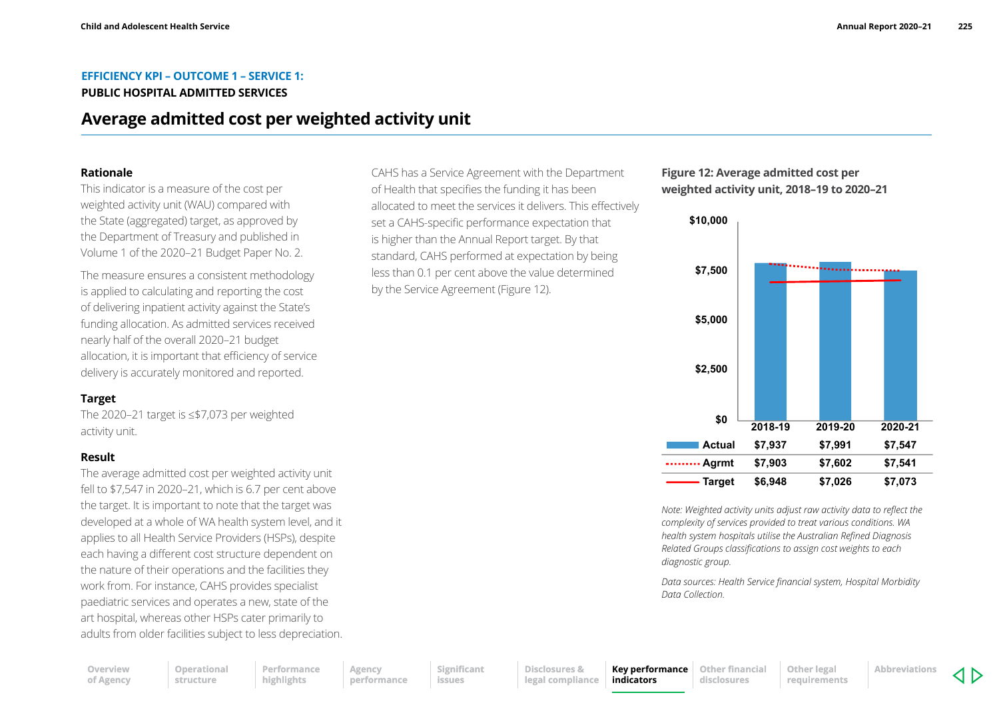#### **EFFICIENCY KPI – OUTCOME 1 – SERVICE 1:**

**PUBLIC HOSPITAL ADMITTED SERVICES** 

# **Average admitted cost per weighted activity unit**

#### **Rationale**

This indicator is a measure of the cost per weighted activity unit (WAU) compared with the State (aggregated) target, as approved by the Department of Treasury and published in Volume 1 of the 2020–21 Budget Paper No. 2.

The measure ensures a consistent methodology is applied to calculating and reporting the cost of delivering inpatient activity against the State's funding allocation. As admitted services received nearly half of the overall 2020–21 budget allocation, it is important that efficiency of service delivery is accurately monitored and reported.

#### **Target**

The 2020–21 target is ≤\$7,073 per weighted activity unit.

#### **Result**

The average admitted cost per weighted activity unit fell to \$7,547 in 2020–21, which is 6.7 per cent above the target. It is important to note that the target was developed at a whole of WA health system level, and it applies to all Health Service Providers (HSPs), despite each having a different cost structure dependent on the nature of their operations and the facilities they work from. For instance, CAHS provides specialist paediatric services and operates a new, state of the art hospital, whereas other HSPs cater primarily to adults from older facilities subject to less depreciation.

CAHS has a Service Agreement with the Department of Health that specifies the funding it has been allocated to meet the services it delivers. This effectively set a CAHS-specific performance expectation that is higher than the Annual Report target. By that standard, CAHS performed at expectation by being less than 0.1 per cent above the value determined by the Service Agreement (Figure 12).

**Figure 12: Average admitted cost per weighted activity unit, 2018–19 to 2020–21**



*Note: Weighted activity units adjust raw activity data to reflect the complexity of services provided to treat various conditions. WA health system hospitals utilise the Australian Refined Diagnosis Related Groups classifications to assign cost weights to each diagnostic group.* 

*Data sources: Health Service financial system, Hospital Morbidity Data Collection.*

**Overview of Agency**

**Operational structure Performance highlights**

**Agency performance**

**Significant issues**

**Disclosures & legal compliance**

**Key performance indicators**

**Other financial disclosures Other legal requirements**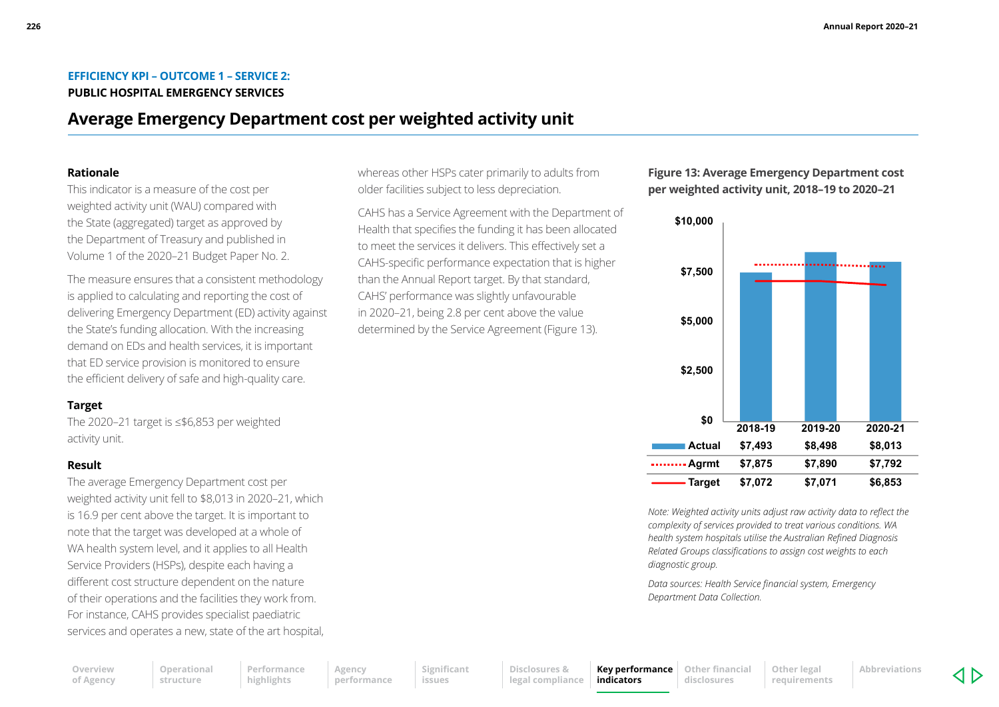#### **EFFICIENCY KPI – OUTCOME 1 – SERVICE 2: PUBLIC HOSPITAL EMERGENCY SERVICES**

# **Average Emergency Department cost per weighted activity unit**

#### **Rationale**

This indicator is a measure of the cost per weighted activity unit (WAU) compared with the State (aggregated) target as approved by the Department of Treasury and published in Volume 1 of the 2020–21 Budget Paper No. 2.

The measure ensures that a consistent methodology is applied to calculating and reporting the cost of delivering Emergency Department (ED) activity against the State's funding allocation. With the increasing demand on EDs and health services, it is important that ED service provision is monitored to ensure the efficient delivery of safe and high-quality care.

#### **Target**

The 2020–21 target is ≤\$6,853 per weighted activity unit.

#### **Result**

The average Emergency Department cost per weighted activity unit fell to \$8,013 in 2020–21, which is 16.9 per cent above the target. It is important to note that the target was developed at a whole of WA health system level, and it applies to all Health Service Providers (HSPs), despite each having a different cost structure dependent on the nature of their operations and the facilities they work from. For instance, CAHS provides specialist paediatric services and operates a new, state of the art hospital,

whereas other HSPs cater primarily to adults from older facilities subject to less depreciation.

CAHS has a Service Agreement with the Department of Health that specifies the funding it has been allocated to meet the services it delivers. This effectively set a CAHS-specific performance expectation that is higher than the Annual Report target. By that standard, CAHS' performance was slightly unfavourable in 2020–21, being 2.8 per cent above the value determined by the Service Agreement (Figure 13).

**Figure 13: Average Emergency Department cost per weighted activity unit, 2018–19 to 2020–21**



*Note: Weighted activity units adjust raw activity data to reflect the complexity of services provided to treat various conditions. WA health system hospitals utilise the Australian Refined Diagnosis Related Groups classifications to assign cost weights to each diagnostic group.* 

*Data sources: Health Service financial system, Emergency Department Data Collection.*

**Overview of Agency** **Operational structure Performance highlights**

**Agency performance Significant issues**

**Disclosures & legal compliance** **Key performance indicators**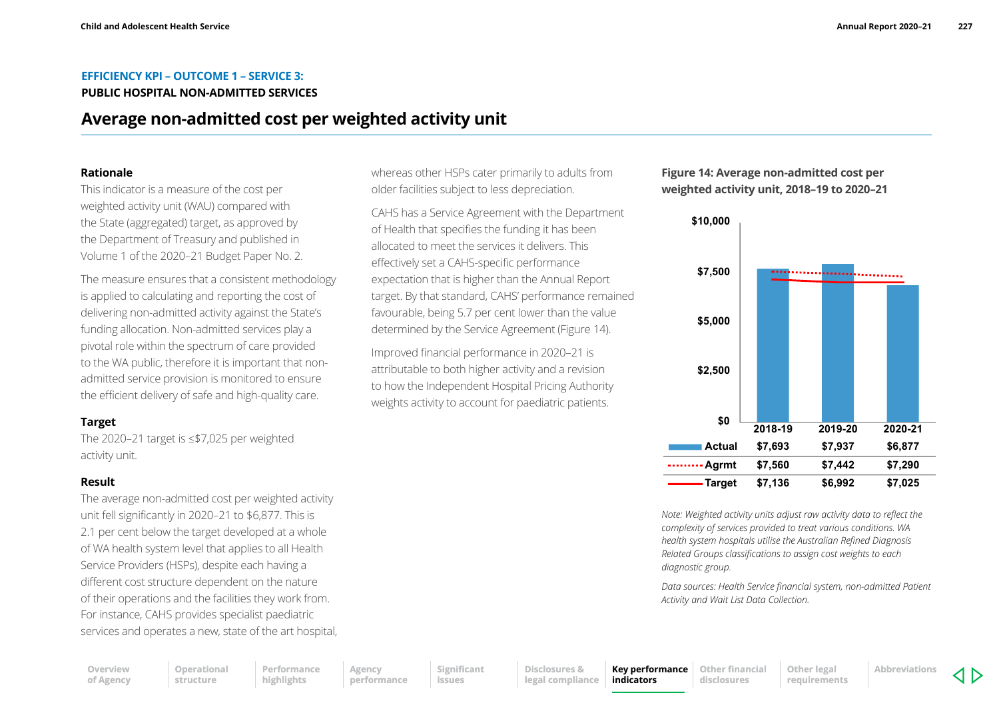#### **EFFICIENCY KPI – OUTCOME 1 – SERVICE 3:**

**PUBLIC HOSPITAL NON-ADMITTED SERVICES**

# **Average non-admitted cost per weighted activity unit**

#### **Rationale**

This indicator is a measure of the cost per weighted activity unit (WAU) compared with the State (aggregated) target, as approved by the Department of Treasury and published in Volume 1 of the 2020–21 Budget Paper No. 2.

The measure ensures that a consistent methodology is applied to calculating and reporting the cost of delivering non-admitted activity against the State's funding allocation. Non-admitted services play a pivotal role within the spectrum of care provided to the WA public, therefore it is important that nonadmitted service provision is monitored to ensure the efficient delivery of safe and high-quality care.

#### **Target**

The 2020–21 target is ≤\$7,025 per weighted activity unit.

#### **Result**

The average non-admitted cost per weighted activity unit fell significantly in 2020–21 to \$6,877. This is 2.1 per cent below the target developed at a whole of WA health system level that applies to all Health Service Providers (HSPs), despite each having a different cost structure dependent on the nature of their operations and the facilities they work from. For instance, CAHS provides specialist paediatric services and operates a new, state of the art hospital, whereas other HSPs cater primarily to adults from older facilities subject to less depreciation.

CAHS has a Service Agreement with the Department of Health that specifies the funding it has been allocated to meet the services it delivers. This effectively set a CAHS-specific performance expectation that is higher than the Annual Report target. By that standard, CAHS' performance remained favourable, being 5.7 per cent lower than the value determined by the Service Agreement (Figure 14).

Improved financial performance in 2020–21 is attributable to both higher activity and a revision to how the Independent Hospital Pricing Authority weights activity to account for paediatric patients.

**Figure 14: Average non-admitted cost per weighted activity unit, 2018–19 to 2020–21**



*Note: Weighted activity units adjust raw activity data to reflect the complexity of services provided to treat various conditions. WA health system hospitals utilise the Australian Refined Diagnosis Related Groups classifications to assign cost weights to each diagnostic group.* 

*Data sources: Health Service financial system, non-admitted Patient Activity and Wait List Data Collection.*

**Overview of Agency**

**Operational structure Performance highlights**

**Agency performance Significant issues**

**Disclosures & legal compliance**

**Key performance indicators**

**Other financial disclosures Other legal requirements**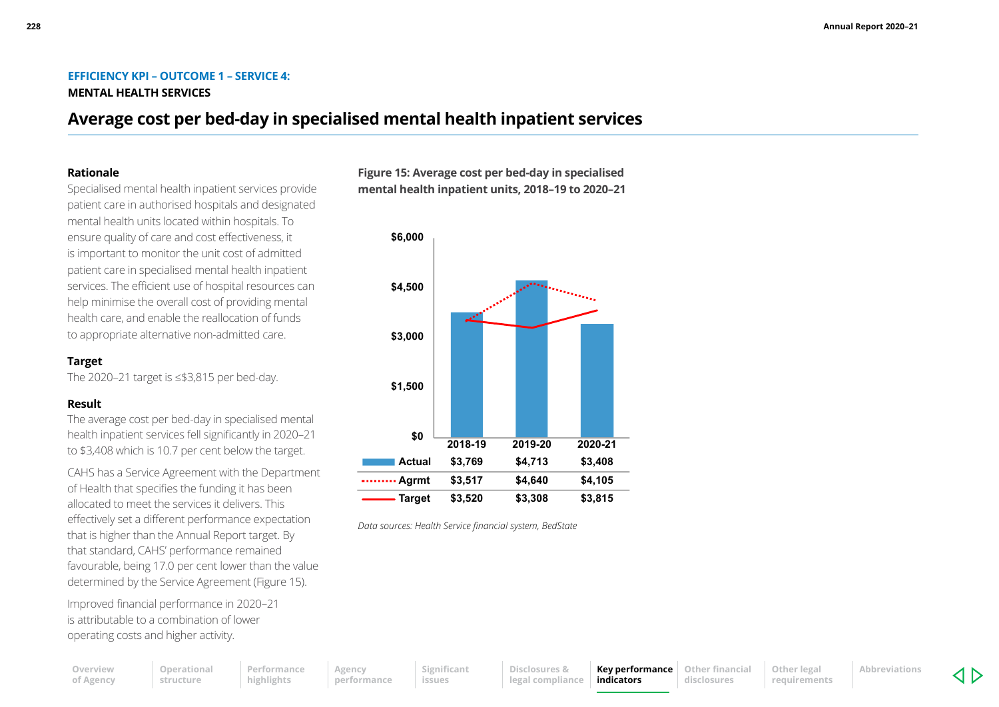#### **EFFICIENCY KPI – OUTCOME 1 – SERVICE 4: MENTAL HEALTH SERVICES**

# **Average cost per bed-day in specialised mental health inpatient services**

#### **Rationale**

Specialised mental health inpatient services provide patient care in authorised hospitals and designated mental health units located within hospitals. To ensure quality of care and cost effectiveness, it is important to monitor the unit cost of admitted patient care in specialised mental health inpatient services. The efficient use of hospital resources can help minimise the overall cost of providing mental health care, and enable the reallocation of funds to appropriate alternative non-admitted care.

#### **Target**

The 2020–21 target is ≤\$3,815 per bed-day.

#### **Result**

The average cost per bed-day in specialised mental health inpatient services fell significantly in 2020–21 to \$3,408 which is 10.7 per cent below the target.

CAHS has a Service Agreement with the Department of Health that specifies the funding it has been allocated to meet the services it delivers. This effectively set a different performance expectation that is higher than the Annual Report target. By that standard, CAHS' performance remained favourable, being 17.0 per cent lower than the value determined by the Service Agreement (Figure 15).

Improved financial performance in 2020–21 is attributable to a combination of lower operating costs and higher activity.

**Figure 15: Average cost per bed-day in specialised mental health inpatient units, 2018–19 to 2020–21**



*Data sources: Health Service financial system, BedState*

**Overview of Agency** **Operational structure Performance highlights**

**Agency performance Significant issues**

**Disclosures & legal compliance**

**Key performance indicators**

**Other financial disclosures**

**Other legal requirements**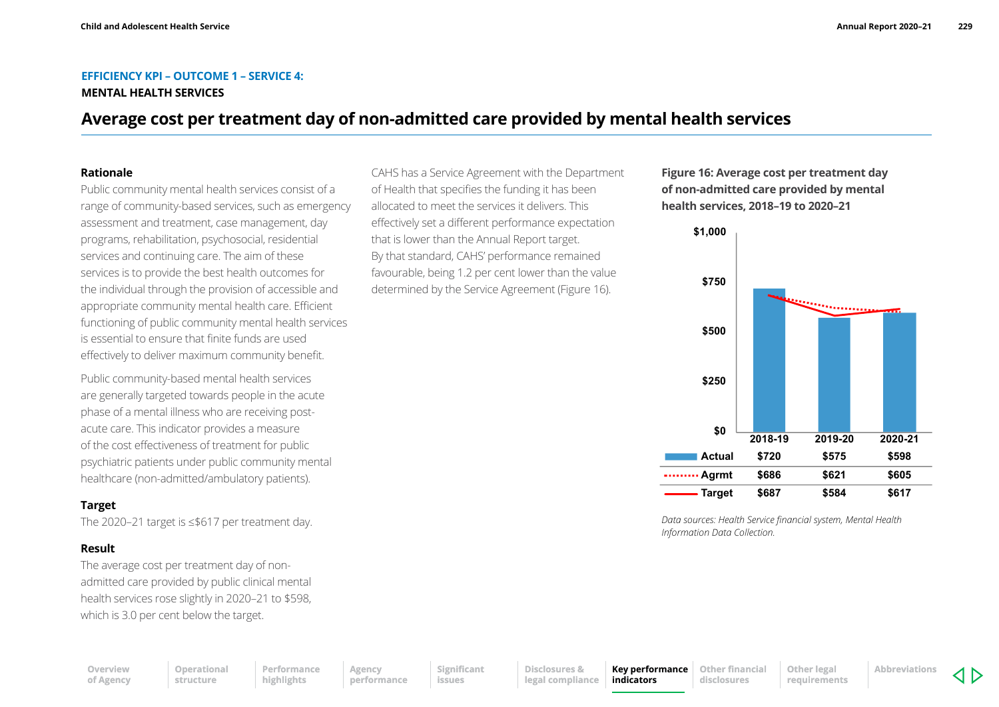#### **EFFICIENCY KPI – OUTCOME 1 – SERVICE 4:**

**MENTAL HEALTH SERVICES**

# **Average cost per treatment day of non-admitted care provided by mental health services**

#### **Rationale**

Public community mental health services consist of a range of community-based services, such as emergency assessment and treatment, case management, day programs, rehabilitation, psychosocial, residential services and continuing care. The aim of these services is to provide the best health outcomes for the individual through the provision of accessible and appropriate community mental health care. Efficient functioning of public community mental health services is essential to ensure that finite funds are used effectively to deliver maximum community benefit.

Public community-based mental health services are generally targeted towards people in the acute phase of a mental illness who are receiving postacute care. This indicator provides a measure of the cost effectiveness of treatment for public psychiatric patients under public community mental healthcare (non-admitted/ambulatory patients).

#### **Target**

The 2020–21 target is ≤\$617 per treatment day.

#### **Result**

The average cost per treatment day of nonadmitted care provided by public clinical mental health services rose slightly in 2020–21 to \$598, which is 3.0 per cent below the target.

CAHS has a Service Agreement with the Department of Health that specifies the funding it has been allocated to meet the services it delivers. This effectively set a different performance expectation that is lower than the Annual Report target. By that standard, CAHS' performance remained favourable, being 1.2 per cent lower than the value determined by the Service Agreement (Figure 16).

**Figure 16: Average cost per treatment day of non-admitted care provided by mental health services, 2018–19 to 2020–21**



*Data sources: Health Service financial system, Mental Health Information Data Collection.*

**Overview of Agency** **Operational structure Performance highlights**

**Agency performance**

**Significant issues**

**Disclosures & legal compliance**

**Key performance indicators**

**Other financial disclosures Other legal requirements**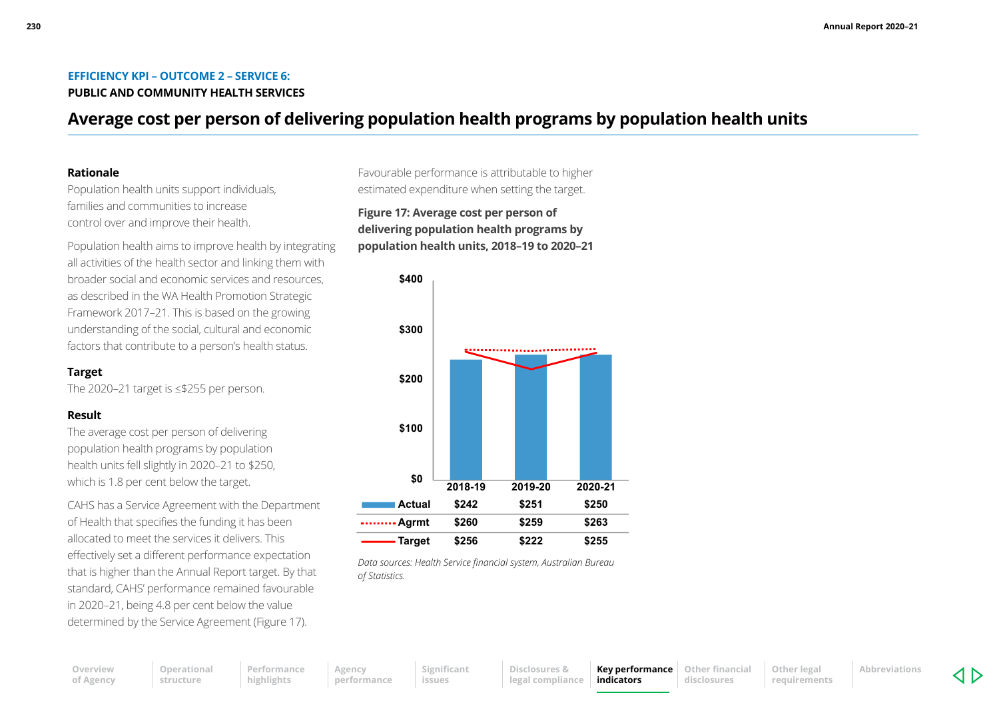### **EFFICIENCY KPI – OUTCOME 2 – SERVICE 6: PUBLIC AND COMMUNITY HEALTH SERVICES**

# **Average cost per person of delivering population health programs by population health units**

#### **Rationale**

Population health units support individuals, families and communities to increase control over and improve their health.

Population health aims to improve health by integrating all activities of the health sector and linking them with broader social and economic services and resources, as described in the WA Health Promotion Strategic Framework 2017–21. This is based on the growing understanding of the social, cultural and economic factors that contribute to a person's health status.

#### **Target**

The 2020–21 target is ≤\$255 per person.

#### **Result**

The average cost per person of delivering population health programs by population health units fell slightly in 2020–21 to \$250, which is 1.8 per cent below the target.

CAHS has a Service Agreement with the Department of Health that specifies the funding it has been allocated to meet the services it delivers. This effectively set a different performance expectation that is higher than the Annual Report target. By that standard, CAHS' performance remained favourable in 2020–21, being 4.8 per cent below the value determined by the Service Agreement (Figure 17).

Favourable performance is attributable to higher estimated expenditure when setting the target.

**Figure 17: Average cost per person of delivering population health programs by population health units, 2018–19 to 2020–21**



*Data sources: Health Service financial system, Australian Bureau of Statistics.*

**Overview of Agency** **Operational structure Performance highlights**

**performance Significant issues**

**Agency** 

**Disclosures & legal compliance**

**Key performance indicators**

**Other legal**